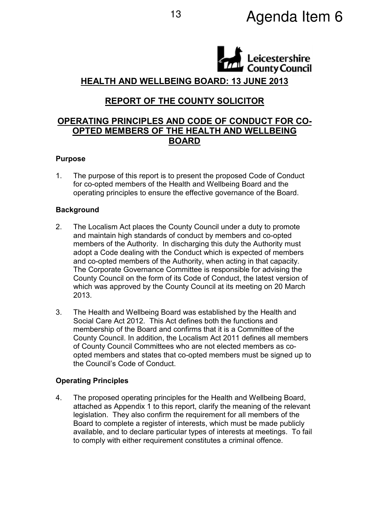# <sup>13</sup> Agenda Item 6



HEALTH AND WELLBEING BOARD: 13 JUNE 2013

# REPORT OF THE COUNTY SOLICITOR

# OPERATING PRINCIPLES AND CODE OF CONDUCT FOR CO-OPTED MEMBERS OF THE HEALTH AND WELLBEING BOARD

### Purpose

1. The purpose of this report is to present the proposed Code of Conduct for co-opted members of the Health and Wellbeing Board and the operating principles to ensure the effective governance of the Board.

### **Background**

- 2. The Localism Act places the County Council under a duty to promote and maintain high standards of conduct by members and co-opted members of the Authority. In discharging this duty the Authority must adopt a Code dealing with the Conduct which is expected of members and co-opted members of the Authority, when acting in that capacity. The Corporate Governance Committee is responsible for advising the County Council on the form of its Code of Conduct, the latest version of which was approved by the County Council at its meeting on 20 March 2013.
- 3. The Health and Wellbeing Board was established by the Health and Social Care Act 2012. This Act defines both the functions and membership of the Board and confirms that it is a Committee of the County Council. In addition, the Localism Act 2011 defines all members of County Council Committees who are not elected members as coopted members and states that co-opted members must be signed up to the Council's Code of Conduct.

### Operating Principles

4. The proposed operating principles for the Health and Wellbeing Board, attached as Appendix 1 to this report, clarify the meaning of the relevant legislation. They also confirm the requirement for all members of the Board to complete a register of interests, which must be made publicly available, and to declare particular types of interests at meetings. To fail to comply with either requirement constitutes a criminal offence.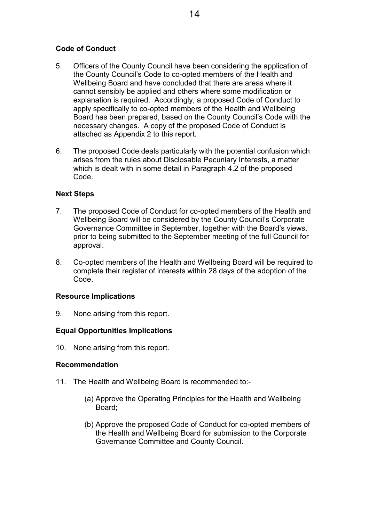## Code of Conduct

- 5. Officers of the County Council have been considering the application of the County Council's Code to co-opted members of the Health and Wellbeing Board and have concluded that there are areas where it cannot sensibly be applied and others where some modification or explanation is required. Accordingly, a proposed Code of Conduct to apply specifically to co-opted members of the Health and Wellbeing Board has been prepared, based on the County Council's Code with the necessary changes. A copy of the proposed Code of Conduct is attached as Appendix 2 to this report.
- 6. The proposed Code deals particularly with the potential confusion which arises from the rules about Disclosable Pecuniary Interests, a matter which is dealt with in some detail in Paragraph 4.2 of the proposed Code.

### Next Steps

- 7. The proposed Code of Conduct for co-opted members of the Health and Wellbeing Board will be considered by the County Council's Corporate Governance Committee in September, together with the Board's views, prior to being submitted to the September meeting of the full Council for approval.
- 8. Co-opted members of the Health and Wellbeing Board will be required to complete their register of interests within 28 days of the adoption of the Code.

#### Resource Implications

9. None arising from this report.

### Equal Opportunities Implications

10. None arising from this report.

#### Recommendation

- 11. The Health and Wellbeing Board is recommended to:-
	- (a) Approve the Operating Principles for the Health and Wellbeing Board;
	- (b) Approve the proposed Code of Conduct for co-opted members of the Health and Wellbeing Board for submission to the Corporate Governance Committee and County Council.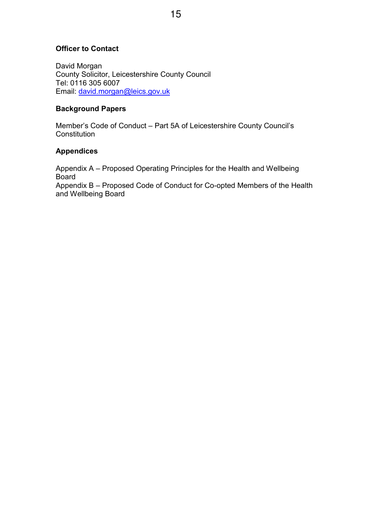## Officer to Contact

David Morgan County Solicitor, Leicestershire County Council Tel: 0116 305 6007 Email: david.morgan@leics.gov.uk

#### Background Papers

Member's Code of Conduct – Part 5A of Leicestershire County Council's **Constitution** 

### Appendices

Appendix A – Proposed Operating Principles for the Health and Wellbeing **Board** Appendix B – Proposed Code of Conduct for Co-opted Members of the Health and Wellbeing Board